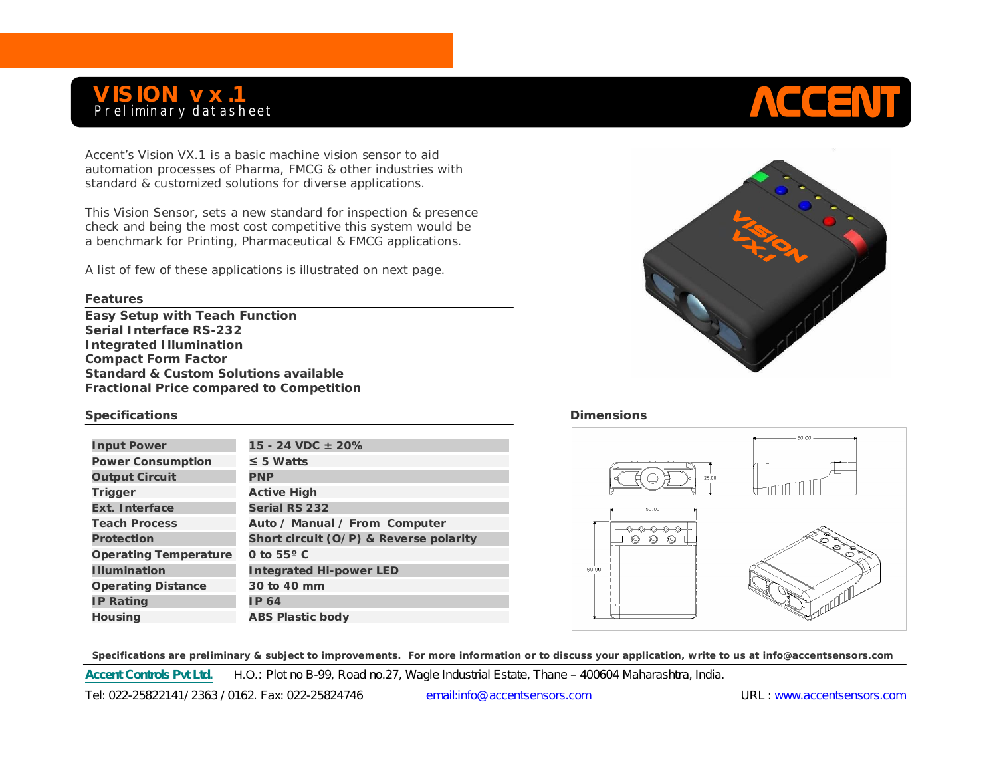## **VISION vx.1** Preliminary datasheet

Accent's Vision VX.1 is a basic machine vision sensor to aid automation processes of Pharma, FMCG & other industries with standard & customized solutions for diverse applications.

This Vision Sensor, sets a new standard for inspection & presence check and being the most cost competitive this system would be a benchmark for Printing, Pharmaceutical & FMCG applications.

A list of few of these applications is illustrated on next page.

## **Features**

**Easy Setup with Teach Function Serial Interface RS-232 Integrated Illumination Compact Form Factor Standard & Custom Solutions available Fractional Price compared to Competition** 

## **Specifications Dimensions Dimensions**

| <b>Input Power</b>           | 15 - 24 VDC $\pm$ 20%                  |
|------------------------------|----------------------------------------|
| <b>Power Consumption</b>     | $\leq$ 5 Watts                         |
| <b>Output Circuit</b>        | <b>PNP</b>                             |
| Trigger                      | <b>Active High</b>                     |
| <b>Ext. Interface</b>        | <b>Serial RS 232</b>                   |
| <b>Teach Process</b>         | Auto / Manual / From Computer          |
| Protection                   | Short circuit (O/P) & Reverse polarity |
| <b>Operating Temperature</b> | 0 to $55^{\circ}$ C                    |
| <b>Illumination</b>          | <b>Integrated Hi-power LED</b>         |
| <b>Operating Distance</b>    | 30 to 40 mm                            |
| <b>IP Rating</b>             | <b>IP 64</b>                           |
| <b>Housing</b>               | <b>ABS Plastic body</b>                |



**ACCENT** 



 **Specifications are preliminary & subject to improvements. For more information or to discuss your application, write to us at info@accentsensors.com**

**Accent Controls Pvt Ltd.** H.O.: Plot no B-99, Road no.27, Wagle Industrial Estate, Thane – 400604 Maharashtra, India.

Tel: 022-25822141/ 2363 / 0162. Fax: 022-25824746 email:info@accentsensors.com URL : www.accentsensors.com